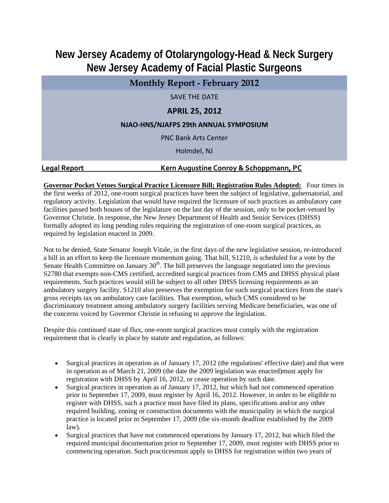## **New Jersey Academy of Otolaryngology-Head & Neck Surgery New Jersey Academy of Facial Plastic Surgeons**

| <b>Monthly Report - February 2012</b> |                                       |  |  |  |  |  |
|---------------------------------------|---------------------------------------|--|--|--|--|--|
|                                       | <b>SAVE THE DATE</b>                  |  |  |  |  |  |
| <b>APRIL 25, 2012</b>                 |                                       |  |  |  |  |  |
|                                       | NJAO-HNS/NJAFPS 29th ANNUAL SYMPOSIUM |  |  |  |  |  |
|                                       | <b>PNC Bank Arts Center</b>           |  |  |  |  |  |
|                                       | Holmdel, NJ                           |  |  |  |  |  |
|                                       | .                                     |  |  |  |  |  |

## **Legal Report Kern Augustine Conroy & Schoppmann, PC**

**Governor Pocket Vetoes Surgical Practice Licensure Bill; Registration Rules Adopted:** Four times in the first weeks of 2012, one-room surgical practices have been the subject of legislative, gubernatorial, and regulatory activity. Legislation that would have required the licensure of such practices as ambulatory care facilities passed both houses of the legislature on the last day of the session, only to be pocket-vetoed by Governor Christie. In response, the New Jersey Department of Health and Senior Services (DHSS) formally adopted its long pending rules requiring the registration of one-room surgical practices, as required by legislation enacted in 2009.

Not to be denied, State Senator Joseph Vitale, in the first days of the new legislative session, re-introduced a bill in an effort to keep the licensure momentum going. That bill, S1210, is scheduled for a vote by the Senate Health Committee on January  $30<sup>th</sup>$ . The bill preserves the language negotiated into the previous S2780 that exempts non-CMS certified, accredited surgical practices from CMS and DHSS physical plant requirements. Such practices would still be subject to all other DHSS licensing requirements as an ambulatory surgery facility. S1210 also preserves the exemption for such surgical practices from the state's gross receipts tax on ambulatory care facilities. That exemption, which CMS considered to be discriminatory treatment among ambulatory surgery facilities serving Medicare beneficiaries, was one of the concerns voiced by Governor Christie in refusing to approve the legislation.

Despite this continued state of flux, one-room surgical practices must comply with the registration requirement that is clearly in place by statute and regulation, as follows:

- Surgical practices in operation as of January 17, 2012 (the regulations' effective date) and that were in operation as of March 21, 2009 (the date the 2009 legislation was enacted)must apply for registration with DHSS by April 16, 2012, or cease operation by such date.
- Surgical practices in operation as of January 17, 2012, but which had not commenced operation prior to September 17, 2009, must register by April 16, 2012. However, in order to be eligible to register with DHSS, such a practice must have filed its plans, specifications and/or any other required building, zoning or construction documents with the municipality in which the surgical practice is located prior to September 17, 2009 (the six-month deadline established by the 2009 law).
- Surgical practices that have not commenced operations by January 17, 2012, but which filed the required municipal documentation prior to September 17, 2009, must register with DHSS prior to commencing operation. Such practicesmust apply to DHSS for registration within two years of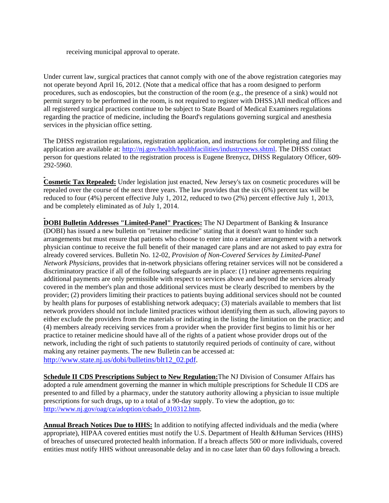receiving municipal approval to operate.

Under current law, surgical practices that cannot comply with one of the above registration categories may not operate beyond April 16, 2012. (Note that a medical office that has a room designed to perform procedures, such as endoscopies, but the construction of the room (e.g., the presence of a sink) would not permit surgery to be performed in the room, is not required to register with DHSS.)All medical offices and all registered surgical practices continue to be subject to State Board of Medical Examiners regulations regarding the practice of medicine, including the Board's regulations governing surgical and anesthesia services in the physician office setting.

The DHSS registration regulations, registration application, and instructions for completing and filing the application are available at: http://nj.gov/health/healthfacilities/industrynews.shtml. The DHSS contact person for questions related to the registration process is Eugene Brenycz, DHSS Regulatory Officer, 609- 292-5960.

**Cosmetic Tax Repealed:** Under legislation just enacted, New Jersey's tax on cosmetic procedures will be repealed over the course of the next three years. The law provides that the six (6%) percent tax will be reduced to four (4%) percent effective July 1, 2012, reduced to two (2%) percent effective July 1, 2013, and be completely eliminated as of July 1, 2014.

**DOBI Bulletin Addresses "Limited-Panel" Practices:** The NJ Department of Banking & Insurance (DOBI) has issued a new bulletin on "retainer medicine" stating that it doesn't want to hinder such arrangements but must ensure that patients who choose to enter into a retainer arrangement with a network physician continue to receive the full benefit of their managed care plans and are not asked to pay extra for already covered services. Bulletin No. 12-02, *Provision of Non-Covered Services by Limited-Panel Network Physicians*, provides that in-network physicians offering retainer services will not be considered a discriminatory practice if all of the following safeguards are in place: (1) retainer agreements requiring additional payments are only permissible with respect to services above and beyond the services already covered in the member's plan and those additional services must be clearly described to members by the provider; (2) providers limiting their practices to patients buying additional services should not be counted by health plans for purposes of establishing network adequacy; (3) materials available to members that list network providers should not include limited practices without identifying them as such, allowing payors to either exclude the providers from the materials or indicating in the listing the limitation on the practice; and (4) members already receiving services from a provider when the provider first begins to limit his or her practice to retainer medicine should have all of the rights of a patient whose provider drops out of the network, including the right of such patients to statutorily required periods of continuity of care, without making any retainer payments. The new Bulletin can be accessed at: http://www.state.nj.us/dobi/bulletins/blt12\_02.pdf.

**Schedule II CDS Prescriptions Subject to New Regulation:**The NJ Division of Consumer Affairs has adopted a rule amendment governing the manner in which multiple prescriptions for Schedule II CDS are presented to and filled by a pharmacy, under the statutory authority allowing a physician to issue multiple prescriptions for such drugs, up to a total of a 90-day supply. To view the adoption, go to: http://www.nj.gov/oag/ca/adoption/cdsado\_010312.htm.

**Annual Breach Notices Due to HHS:** In addition to notifying affected individuals and the media (where appropriate), HIPAA covered entities must notify the U.S. Department of Health &Human Services (HHS) of breaches of unsecured protected health information. If a breach affects 500 or more individuals, covered entities must notify HHS without unreasonable delay and in no case later than 60 days following a breach.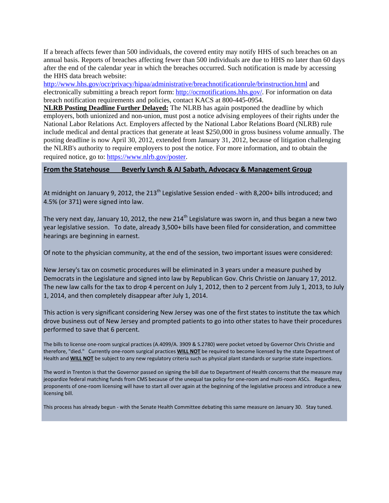If a breach affects fewer than 500 individuals, the covered entity may notify HHS of such breaches on an annual basis. Reports of breaches affecting fewer than 500 individuals are due to HHS no later than 60 days after the end of the calendar year in which the breaches occurred. Such notification is made by accessing the HHS data breach website:

http://www.hhs.gov/ocr/privacy/hipaa/administrative/breachnotificationrule/brinstruction.html and electronically submitting a breach report form: http://ocrnotifications.hhs.gov/. For information on data breach notification requirements and policies, contact KACS at 800-445-0954.

**NLRB Posting Deadline Further Delayed:** The NLRB has again postponed the deadline by which employers, both unionized and non-union, must post a notice advising employees of their rights under the National Labor Relations Act. Employers affected by the National Labor Relations Board (NLRB) rule include medical and dental practices that generate at least \$250,000 in gross business volume annually. The posting deadline is now April 30, 2012, extended from January 31, 2012, because of litigation challenging the NLRB's authority to require employers to post the notice. For more information, and to obtain the required notice, go to: https://www.nlrb.gov/poster.

## **From the Statehouse Beverly Lynch & AJ Sabath, Advocacy & Management Group**

At midnight on January 9, 2012, the 213<sup>th</sup> Legislative Session ended - with 8,200+ bills introduced; and 4.5% (or 371) were signed into law.

The very next day, January 10, 2012, the new 214<sup>th</sup> Legislature was sworn in, and thus began a new two year legislative session. To date, already 3,500+ bills have been filed for consideration, and committee hearings are beginning in earnest.

Of note to the physician community, at the end of the session, two important issues were considered:

New Jersey's tax on cosmetic procedures will be eliminated in 3 years under a measure pushed by Democrats in the Legislature and signed into law by Republican Gov. Chris Christie on January 17, 2012. The new law calls for the tax to drop 4 percent on July 1, 2012, then to 2 percent from July 1, 2013, to July 1, 2014, and then completely disappear after July 1, 2014.

This action is very significant considering New Jersey was one of the first states to institute the tax which drove business out of New Jersey and prompted patients to go into other states to have their procedures performed to save that 6 percent.

The bills to license one‐room surgical practices (A.4099/A. 3909 & S.2780) were pocket vetoed by Governor Chris Christie and therefore, "died." Currently one‐room surgical practices **WILL NOT** be required to become licensed by the state Department of Health and **WILL NOT** be subject to any new regulatory criteria such as physical plant standards or surprise state inspections.

The word in Trenton is that the Governor passed on signing the bill due to Department of Health concerns that the measure may jeopardize federal matching funds from CMS because of the unequal tax policy for one-room and multi-room ASCs. Regardless, proponents of one‐room licensing will have to start all over again at the beginning of the legislative process and introduce a new licensing bill.

This process has already begun ‐ with the Senate Health Committee debating this same measure on January 30. Stay tuned.